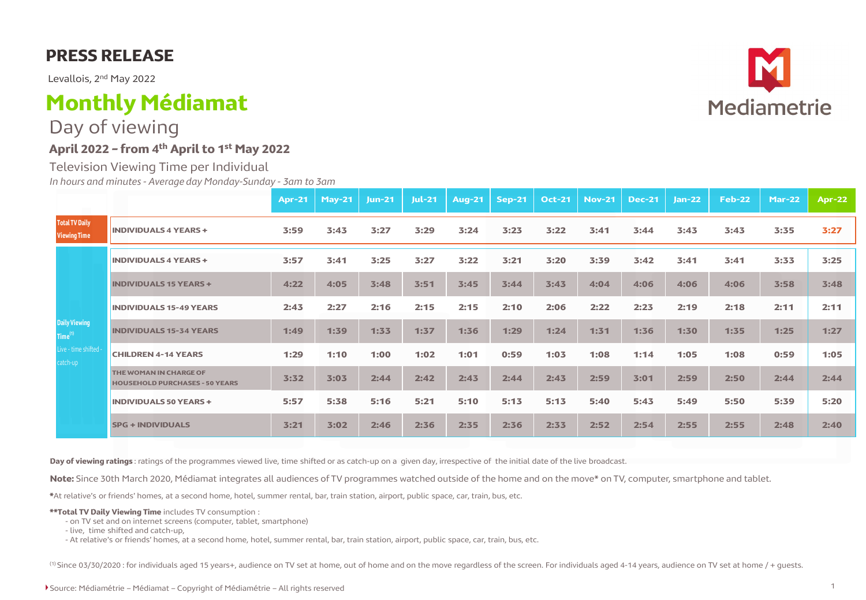## **PRESS RELEASE**

Levallois, 2nd May 2022

# **Monthly Médiamat**

Day of viewing

### **April 2022 – from 4th April to 1st May 2022**

Television Viewing Time per Individual *In hours and minutes - Average day Monday-Sunday - 3am to 3am*

|                                                                                |                                                                 | <b>Apr-21</b> | $May-21$ | <b>Jun-21</b> | <b>Jul-21</b> | <b>Aug-21</b> | <b>Sep-21</b> | <b>Oct-21</b> | <b>Nov-21</b> | <b>Dec-21</b> | $Jan-22$ | <b>Feb-22</b> | <b>Mar-22</b> | <b>Apr-22</b> |
|--------------------------------------------------------------------------------|-----------------------------------------------------------------|---------------|----------|---------------|---------------|---------------|---------------|---------------|---------------|---------------|----------|---------------|---------------|---------------|
| <b>Total TV Daily</b><br><b>Viewing Time</b>                                   | <b>INDIVIDUALS 4 YEARS +</b>                                    | 3:59          | 3:43     | 3:27          | 3:29          | 3:24          | 3:23          | 3:22          | 3:41          | 3:44          | 3:43     | 3:43          | 3:35          | 3:27          |
| <b>Daily Viewing</b><br>Time <sup>(1)</sup><br>Live - time shifted<br>catch-up | <b>INDIVIDUALS 4 YEARS +</b>                                    | 3:57          | 3:41     | 3:25          | 3:27          | 3:22          | 3:21          | 3:20          | 3:39          | 3:42          | 3:41     | 3:41          | 3:33          | 3:25          |
|                                                                                | <b>INDIVIDUALS 15 YEARS +</b>                                   | 4:22          | 4:05     | 3:48          | 3:51          | 3:45          | 3:44          | 3:43          | 4:04          | 4:06          | 4:06     | 4:06          | 3:58          | 3:48          |
|                                                                                | <b>INDIVIDUALS 15-49 YEARS</b>                                  | 2:43          | 2:27     | 2:16          | 2:15          | 2:15          | 2:10          | 2:06          | 2:22          | 2:23          | 2:19     | 2:18          | 2:11          | 2:11          |
|                                                                                | <b>INDIVIDUALS 15-34 YEARS</b>                                  | 1:49          | 1:39     | 1:33          | 1:37          | 1:36          | 1:29          | 1:24          | 1:31          | 1:36          | 1:30     | 1:35          | 1:25          | 1:27          |
|                                                                                | <b>CHILDREN 4-14 YEARS</b>                                      | 1:29          | 1:10     | 1:00          | 1:02          | 1:01          | 0:59          | 1:03          | 1:08          | 1:14          | 1:05     | 1:08          | 0:59          | 1:05          |
|                                                                                | THE WOMAN IN CHARGE OF<br><b>HOUSEHOLD PURCHASES - 50 YEARS</b> | 3:32          | 3:03     | 2:44          | 2:42          | 2:43          | 2:44          | 2:43          | 2:59          | 3:01          | 2:59     | 2:50          | 2:44          | 2:44          |
|                                                                                | <b>INDIVIDUALS 50 YEARS +</b>                                   | 5:57          | 5:38     | 5:16          | 5:21          | 5:10          | 5:13          | 5:13          | 5:40          | 5:43          | 5:49     | 5:50          | 5:39          | 5:20          |
|                                                                                | <b>SPG + INDIVIDUALS</b>                                        | 3:21          | 3:02     | 2:46          | 2:36          | 2:35          | 2:36          | 2:33          | 2:52          | 2:54          | 2:55     | 2:55          | 2:48          | 2:40          |

**Day of viewing ratings** : ratings of the programmes viewed live, time shifted or as catch-up on a given day, irrespective of the initial date of the live broadcast.

**Note:** Since 30th March 2020, Médiamat integrates all audiences of TV programmes watched outside of the home and on the move\* on TV, computer, smartphone and tablet.

**\***At relative's or friends' homes, at a second home, hotel, summer rental, bar, train station, airport, public space, car, train, bus, etc.

**\*\*Total TV Daily Viewing Time** includes TV consumption :

- on TV set and on internet screens (computer, tablet, smartphone)
- live, time shifted and catch-up,

- At relative's or friends' homes, at a second home, hotel, summer rental, bar, train station, airport, public space, car, train, bus, etc.

(1) Since 03/30/2020 : for individuals aged 15 years+, audience on TV set at home, out of home and on the move regardless of the screen. For individuals aged 4-14 years, audience on TV set at home / + quests.

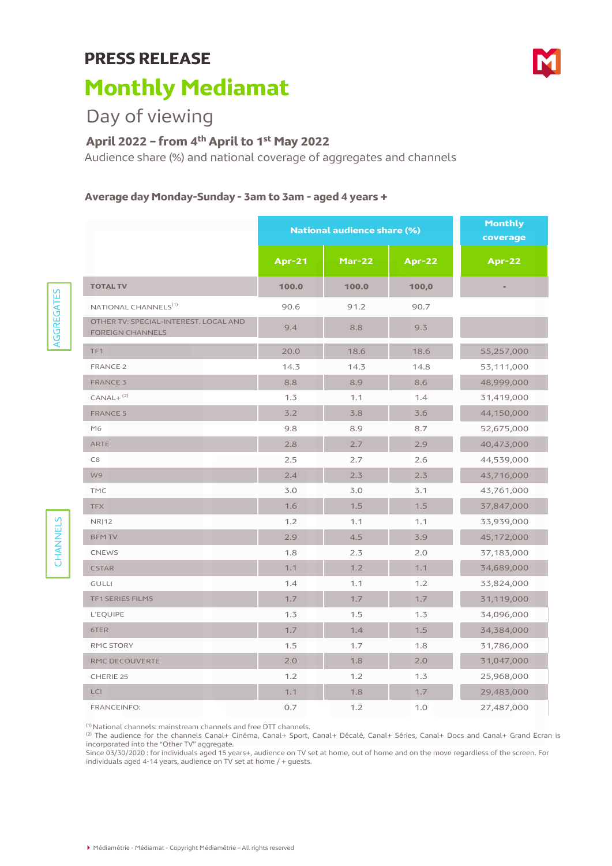# **PRESS RELEASE**

# **Monthly Mediamat**

# Day of viewing

AGGREGATES

**AGGREGATES** 

CHANNELS

CHANNELS

## **April 2022 – from 4th April to 1st May 2022**

Audience share (%) and national coverage of aggregates and channels

#### **Average day Monday-Sunday - 3am to 3am - aged 4 years +**

|                                                                  | <b>National audience share (%)</b> | <b>Monthly</b><br>coverage |               |               |
|------------------------------------------------------------------|------------------------------------|----------------------------|---------------|---------------|
|                                                                  | <b>Apr-21</b>                      | $Mar-22$                   | <b>Apr-22</b> | <b>Apr-22</b> |
| <b>TOTAL TV</b>                                                  | 100.0                              | 100.0                      | 100,0         |               |
| NATIONAL CHANNELS <sup>(1)</sup>                                 | 90.6                               | 91.2                       | 90.7          |               |
| OTHER TV: SPECIAL-INTEREST. LOCAL AND<br><b>FOREIGN CHANNELS</b> | 9.4                                | 8.8                        | 9.3           |               |
| TF <sub>1</sub>                                                  | 20.0                               | 18.6                       | 18.6          | 55,257,000    |
| <b>FRANCE 2</b>                                                  | 14.3                               | 14.3                       | 14.8          | 53,111,000    |
| <b>FRANCE 3</b>                                                  | 8.8                                | 8.9                        | 8.6           | 48,999,000    |
| $CANAL+$ <sup>(2)</sup>                                          | 1.3                                | 1.1                        | 1.4           | 31,419,000    |
| <b>FRANCE 5</b>                                                  | 3.2                                | 3.8                        | 3.6           | 44,150,000    |
| M6                                                               | 9.8                                | 8.9                        | 8.7           | 52,675,000    |
| ARTE                                                             | 2.8                                | 2.7                        | 2.9           | 40,473,000    |
| C8                                                               | 2.5                                | 2.7                        | 2.6           | 44,539,000    |
| W9                                                               | 2.4                                | 2.3                        | 2.3           | 43,716,000    |
| <b>TMC</b>                                                       | 3.0                                | 3.0                        | 3.1           | 43,761,000    |
| <b>TFX</b>                                                       | 1.6                                | 1.5                        | 1.5           | 37,847,000    |
| <b>NRJ12</b>                                                     | 1.2                                | 1.1                        | 1.1           | 33,939,000    |
| <b>BFM TV</b>                                                    | 2.9                                | 4.5                        | 3.9           | 45,172,000    |
| <b>CNEWS</b>                                                     | 1.8                                | 2.3                        | 2.0           | 37,183,000    |
| <b>CSTAR</b>                                                     | 1.1                                | 1.2                        | 1.1           | 34,689,000    |
| <b>GULLI</b>                                                     | 1.4                                | 1.1                        | 1.2           | 33,824,000    |
| TF1 SERIES FILMS                                                 | 1.7                                | 1.7                        | 1.7           | 31,119,000    |
| <b>L'EQUIPE</b>                                                  | 1.3                                | 1.5                        | 1.3           | 34,096,000    |
| 6TER                                                             | 1.7                                | 1.4                        | 1.5           | 34,384,000    |
| RMC STORY                                                        | 1.5                                | 1.7                        | 1.8           | 31,786,000    |
| RMC DECOUVERTE                                                   | 2.0                                | 1.8                        | 2.0           | 31,047,000    |
| CHERIE 25                                                        | 1.2                                | 1.2                        | 1.3           | 25,968,000    |
| LCI                                                              | 1.1                                | 1.8                        | 1.7           | 29,483,000    |
| FRANCEINFO:                                                      | 0.7                                | 1.2                        | 1.0           | 27,487,000    |

(1) National channels: mainstream channels and free DTT channels.<br>(2) The audience for the channels Canal+ Cinéma, Canal+ Sport, Canal+ Décalé, Canal+ Séries, Canal+ Docs and Canal+ Grand Ecran is incorporated into the "Other TV" aggregate.

Since 03/30/2020 : for individuals aged 15 years+, audience on TV set at home, out of home and on the move regardless of the screen. For individuals aged 4-14 years, audience on TV set at home / + guests.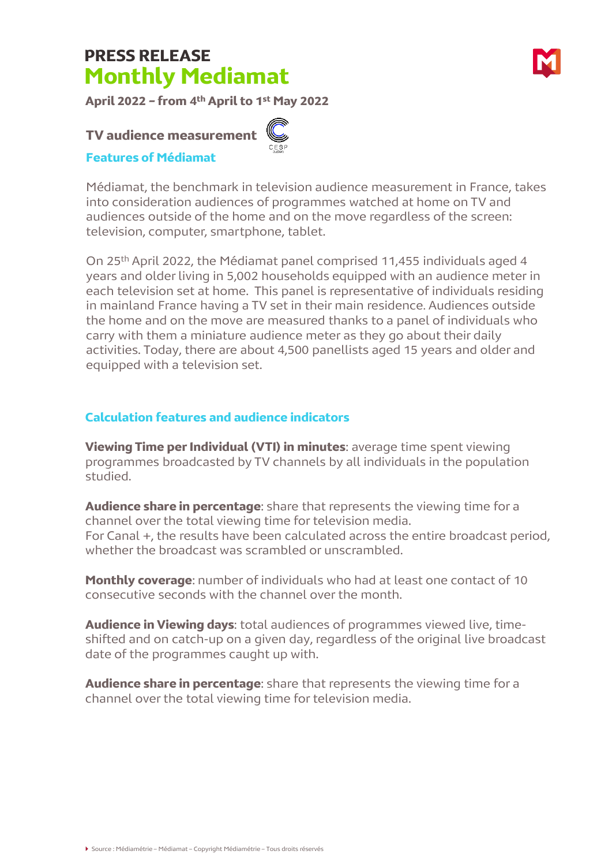# **PRESS RELEASE Monthly Mediamat**

**April 2022 – from 4th April to 1st May 2022**

### **TV audience measurement**

#### **Features of Médiamat**

Médiamat, the benchmark in television audience measurement in France, takes into consideration audiences of programmes watched at home on TV and audiences outside of the home and on the move regardless of the screen: television, computer, smartphone, tablet.

On 25th April 2022, the Médiamat panel comprised 11,455 individuals aged 4 years and older living in 5,002 households equipped with an audience meter in each television set at home. This panel is representative of individuals residing in mainland France having a TV set in their main residence. Audiences outside the home and on the move are measured thanks to a panel of individuals who carry with them a miniature audience meter as they go about their daily activities. Today, there are about 4,500 panellists aged 15 years and older and equipped with a television set.

### **Calculation features and audience indicators**

**Viewing Time per Individual (VTI) in minutes**: average time spent viewing programmes broadcasted by TV channels by all individuals in the population studied.

**Audience share in percentage**: share that represents the viewing time for a channel over the total viewing time for television media. For Canal +, the results have been calculated across the entire broadcast period, whether the broadcast was scrambled or unscrambled.

**Monthly coverage**: number of individuals who had at least one contact of 10 consecutive seconds with the channel over the month.

**Audience in Viewing days**: total audiences of programmes viewed live, timeshifted and on catch-up on a given day, regardless of the original live broadcast date of the programmes caught up with.

**Audience share in percentage**: share that represents the viewing time for a channel over the total viewing time for television media.